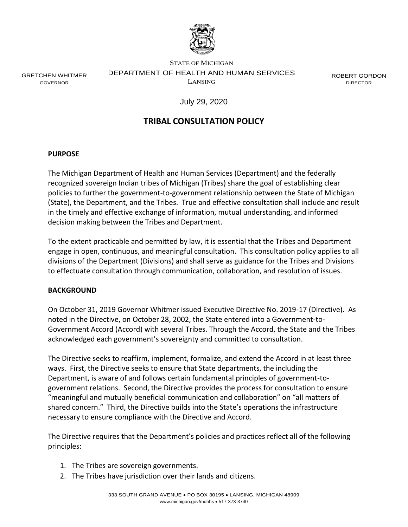

GRETCHEN WHITMER GOVERNOR

STATE OF MICHIGAN DEPARTMENT OF HEALTH AND HUMAN SERVICES LANSING

ROBERT GORDON DIRECTOR

July 29, 2020

# **TRIBAL CONSULTATION POLICY**

#### **PURPOSE**

The Michigan Department of Health and Human Services (Department) and the federally recognized sovereign Indian tribes of Michigan (Tribes) share the goal of establishing clear policies to further the government-to-government relationship between the State of Michigan (State), the Department, and the Tribes. True and effective consultation shall include and result in the timely and effective exchange of information, mutual understanding, and informed decision making between the Tribes and Department.

To the extent practicable and permitted by law, it is essential that the Tribes and Department engage in open, continuous, and meaningful consultation. This consultation policy applies to all divisions of the Department (Divisions) and shall serve as guidance for the Tribes and Divisions to effectuate consultation through communication, collaboration, and resolution of issues.

# **BACKGROUND**

On October 31, 2019 Governor Whitmer issued Executive Directive No. 2019-17 (Directive). As noted in the Directive, on October 28, 2002, the State entered into a Government-to-Government Accord (Accord) with several Tribes. Through the Accord, the State and the Tribes acknowledged each government's sovereignty and committed to consultation.

The Directive seeks to reaffirm, implement, formalize, and extend the Accord in at least three ways. First, the Directive seeks to ensure that State departments, the including the Department, is aware of and follows certain fundamental principles of government-togovernment relations. Second, the Directive provides the process for consultation to ensure "meaningful and mutually beneficial communication and collaboration" on "all matters of shared concern." Third, the Directive builds into the State's operations the infrastructure necessary to ensure compliance with the Directive and Accord.

The Directive requires that the Department's policies and practices reflect all of the following principles:

- 1. The Tribes are sovereign governments.
- 2. The Tribes have jurisdiction over their lands and citizens.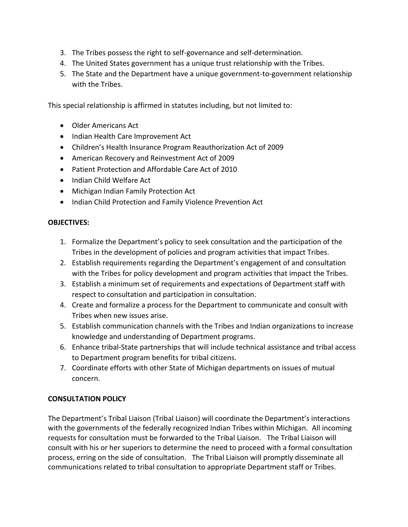- 3. The Tribes possess the right to self-governance and self-determination.
- 4. The United States government has a unique trust relationship with the Tribes.
- 5. The State and the Department have a unique government-to-government relationship with the Tribes.

This special relationship is affirmed in statutes including, but not limited to:

- Older Americans Act
- Indian Health Care Improvement Act
- Children's Health Insurance Program Reauthorization Act of 2009
- American Recovery and Reinvestment Act of 2009
- Patient Protection and Affordable Care Act of 2010
- Indian Child Welfare Act
- Michigan Indian Family Protection Act
- Indian Child Protection and Family Violence Prevention Act

#### **OBJECTIVES:**

- 1. Formalize the Department's policy to seek consultation and the participation of the Tribes in the development of policies and program activities that impact Tribes.
- 2. Establish requirements regarding the Department's engagement of and consultation with the Tribes for policy development and program activities that impact the Tribes.
- 3. Establish a minimum set of requirements and expectations of Department staff with respect to consultation and participation in consultation.
- 4. Create and formalize a process for the Department to communicate and consult with Tribes when new issues arise.
- 5. Establish communication channels with the Tribes and Indian organizations to increase knowledge and understanding of Department programs.
- 6. Enhance tribal-State partnerships that will include technical assistance and tribal access to Department program benefits for tribal citizens.
- 7. Coordinate efforts with other State of Michigan departments on issues of mutual concern.

# **CONSULTATION POLICY**

The Department's Tribal Liaison (Tribal Liaison) will coordinate the Department's interactions with the governments of the federally recognized Indian Tribes within Michigan. All incoming requests for consultation must be forwarded to the Tribal Liaison. The Tribal Liaison will consult with his or her superiors to determine the need to proceed with a formal consultation process, erring on the side of consultation. The Tribal Liaison will promptly disseminate all communications related to tribal consultation to appropriate Department staff or Tribes.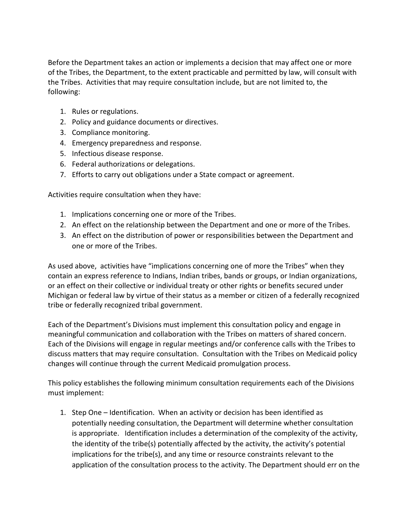Before the Department takes an action or implements a decision that may affect one or more of the Tribes, the Department, to the extent practicable and permitted by law, will consult with the Tribes. Activities that may require consultation include, but are not limited to, the following:

- 1. Rules or regulations.
- 2. Policy and guidance documents or directives.
- 3. Compliance monitoring.
- 4. Emergency preparedness and response.
- 5. Infectious disease response.
- 6. Federal authorizations or delegations.
- 7. Efforts to carry out obligations under a State compact or agreement.

Activities require consultation when they have:

- 1. Implications concerning one or more of the Tribes.
- 2. An effect on the relationship between the Department and one or more of the Tribes.
- 3. An effect on the distribution of power or responsibilities between the Department and one or more of the Tribes.

As used above, activities have "implications concerning one of more the Tribes" when they contain an express reference to Indians, Indian tribes, bands or groups, or Indian organizations, or an effect on their collective or individual treaty or other rights or benefits secured under Michigan or federal law by virtue of their status as a member or citizen of a federally recognized tribe or federally recognized tribal government.

Each of the Department's Divisions must implement this consultation policy and engage in meaningful communication and collaboration with the Tribes on matters of shared concern. Each of the Divisions will engage in regular meetings and/or conference calls with the Tribes to discuss matters that may require consultation. Consultation with the Tribes on Medicaid policy changes will continue through the current Medicaid promulgation process.

This policy establishes the following minimum consultation requirements each of the Divisions must implement:

1. Step One – Identification. When an activity or decision has been identified as potentially needing consultation, the Department will determine whether consultation is appropriate. Identification includes a determination of the complexity of the activity, the identity of the tribe(s) potentially affected by the activity, the activity's potential implications for the tribe(s), and any time or resource constraints relevant to the application of the consultation process to the activity. The Department should err on the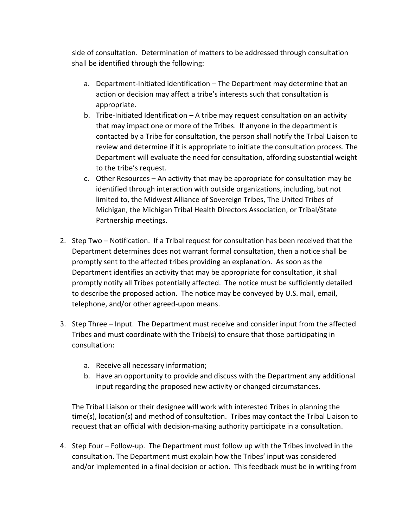side of consultation. Determination of matters to be addressed through consultation shall be identified through the following:

- a. Department-Initiated identification The Department may determine that an action or decision may affect a tribe's interests such that consultation is appropriate.
- b. Tribe-Initiated Identification A tribe may request consultation on an activity that may impact one or more of the Tribes. If anyone in the department is contacted by a Tribe for consultation, the person shall notify the Tribal Liaison to review and determine if it is appropriate to initiate the consultation process. The Department will evaluate the need for consultation, affording substantial weight to the tribe's request.
- c. Other Resources An activity that may be appropriate for consultation may be identified through interaction with outside organizations, including, but not limited to, the Midwest Alliance of Sovereign Tribes, The United Tribes of Michigan, the Michigan Tribal Health Directors Association, or Tribal/State Partnership meetings.
- 2. Step Two Notification. If a Tribal request for consultation has been received that the Department determines does not warrant formal consultation, then a notice shall be promptly sent to the affected tribes providing an explanation. As soon as the Department identifies an activity that may be appropriate for consultation, it shall promptly notify all Tribes potentially affected. The notice must be sufficiently detailed to describe the proposed action. The notice may be conveyed by U.S. mail, email, telephone, and/or other agreed-upon means.
- 3. Step Three Input. The Department must receive and consider input from the affected Tribes and must coordinate with the Tribe(s) to ensure that those participating in consultation:
	- a. Receive all necessary information;
	- b. Have an opportunity to provide and discuss with the Department any additional input regarding the proposed new activity or changed circumstances.

The Tribal Liaison or their designee will work with interested Tribes in planning the time(s), location(s) and method of consultation. Tribes may contact the Tribal Liaison to request that an official with decision-making authority participate in a consultation.

4. Step Four – Follow-up. The Department must follow up with the Tribes involved in the consultation. The Department must explain how the Tribes' input was considered and/or implemented in a final decision or action. This feedback must be in writing from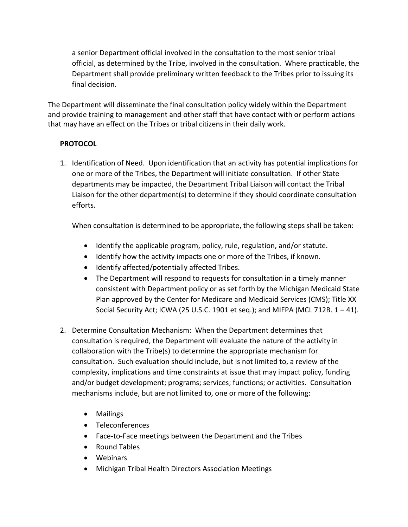a senior Department official involved in the consultation to the most senior tribal official, as determined by the Tribe, involved in the consultation. Where practicable, the Department shall provide preliminary written feedback to the Tribes prior to issuing its final decision.

The Department will disseminate the final consultation policy widely within the Department and provide training to management and other staff that have contact with or perform actions that may have an effect on the Tribes or tribal citizens in their daily work.

# **PROTOCOL**

1. Identification of Need. Upon identification that an activity has potential implications for one or more of the Tribes, the Department will initiate consultation. If other State departments may be impacted, the Department Tribal Liaison will contact the Tribal Liaison for the other department(s) to determine if they should coordinate consultation efforts.

When consultation is determined to be appropriate, the following steps shall be taken:

- Identify the applicable program, policy, rule, regulation, and/or statute.
- Identify how the activity impacts one or more of the Tribes, if known.
- Identify affected/potentially affected Tribes.
- The Department will respond to requests for consultation in a timely manner consistent with Department policy or as set forth by the Michigan Medicaid State Plan approved by the Center for Medicare and Medicaid Services (CMS); Title XX Social Security Act; ICWA (25 U.S.C. 1901 et seq.); and MIFPA (MCL 712B.  $1 - 41$ ).
- 2. Determine Consultation Mechanism: When the Department determines that consultation is required, the Department will evaluate the nature of the activity in collaboration with the Tribe(s) to determine the appropriate mechanism for consultation. Such evaluation should include, but is not limited to, a review of the complexity, implications and time constraints at issue that may impact policy, funding and/or budget development; programs; services; functions; or activities. Consultation mechanisms include, but are not limited to, one or more of the following:
	- Mailings
	- Teleconferences
	- Face-to-Face meetings between the Department and the Tribes
	- Round Tables
	- Webinars
	- Michigan Tribal Health Directors Association Meetings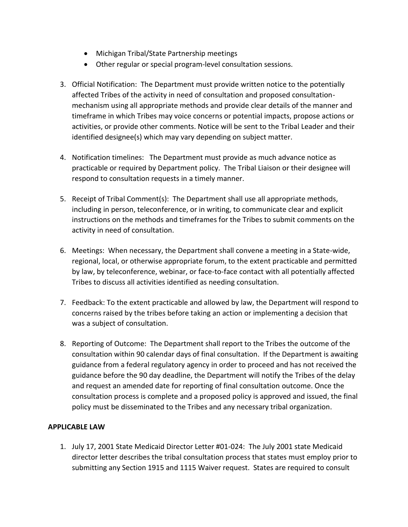- Michigan Tribal/State Partnership meetings
- Other regular or special program-level consultation sessions.
- 3. Official Notification: The Department must provide written notice to the potentially affected Tribes of the activity in need of consultation and proposed consultationmechanism using all appropriate methods and provide clear details of the manner and timeframe in which Tribes may voice concerns or potential impacts, propose actions or activities, or provide other comments. Notice will be sent to the Tribal Leader and their identified designee(s) which may vary depending on subject matter.
- 4. Notification timelines: The Department must provide as much advance notice as practicable or required by Department policy. The Tribal Liaison or their designee will respond to consultation requests in a timely manner.
- 5. Receipt of Tribal Comment(s): The Department shall use all appropriate methods, including in person, teleconference, or in writing, to communicate clear and explicit instructions on the methods and timeframes for the Tribes to submit comments on the activity in need of consultation.
- 6. Meetings: When necessary, the Department shall convene a meeting in a State-wide, regional, local, or otherwise appropriate forum, to the extent practicable and permitted by law, by teleconference, webinar, or face-to-face contact with all potentially affected Tribes to discuss all activities identified as needing consultation.
- 7. Feedback: To the extent practicable and allowed by law, the Department will respond to concerns raised by the tribes before taking an action or implementing a decision that was a subject of consultation.
- 8. Reporting of Outcome: The Department shall report to the Tribes the outcome of the consultation within 90 calendar days of final consultation. If the Department is awaiting guidance from a federal regulatory agency in order to proceed and has not received the guidance before the 90 day deadline, the Department will notify the Tribes of the delay and request an amended date for reporting of final consultation outcome. Once the consultation process is complete and a proposed policy is approved and issued, the final policy must be disseminated to the Tribes and any necessary tribal organization.

# **APPLICABLE LAW**

1. July 17, 2001 State Medicaid Director Letter #01-024: The July 2001 state Medicaid director letter describes the tribal consultation process that states must employ prior to submitting any Section 1915 and 1115 Waiver request. States are required to consult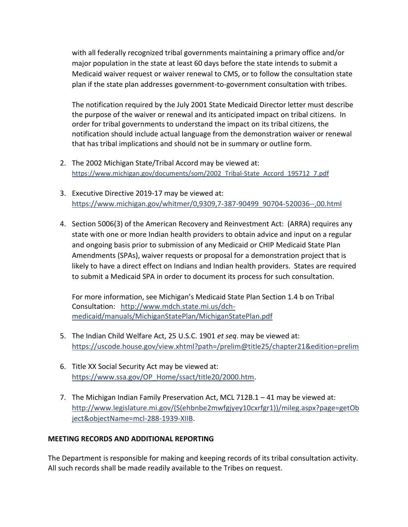with all federally recognized tribal governments maintaining a primary office and/or major population in the state at least 60 days before the state intends to submit a Medicaid waiver request or waiver renewal to CMS, or to follow the consultation state plan if the state plan addresses government-to-government consultation with tribes.

The notification required by the July 2001 State Medicaid Director letter must describe the purpose of the waiver or renewal and its anticipated impact on tribal citizens. In order for tribal governments to understand the impact on its tribal citizens, the notification should include actual language from the demonstration waiver or renewal that has tribal implications and should not be in summary or outline form.

- 2. The 2002 Michigan State/Tribal Accord may be viewed at: [https://www.michigan.gov/documents/som/2002\\_Tribal-State\\_Accord\\_195712\\_7.pdf](https://www.michigan.gov/documents/som/2002_Tribal-State_Accord_195712_7.pdf)
- 3. Executive Directive 2019-17 may be viewed at: [https://www.michigan.gov/whitmer/0,9309,7-387-90499\\_90704-520036--,00.html](https://www.michigan.gov/whitmer/0,9309,7-387-90499_90704-520036--,00.html)
- 4. Section 5006(3) of the American Recovery and Reinvestment Act: (ARRA) requires any state with one or more Indian health providers to obtain advice and input on a regular and ongoing basis prior to submission of any Medicaid or CHIP Medicaid State Plan Amendments (SPAs), waiver requests or proposal for a demonstration project that is likely to have a direct effect on Indians and Indian health providers. States are required to submit a Medicaid SPA in order to document its process for such consultation.

For more information, see Michigan's Medicaid State Plan Section 1.4 b on Tribal Consultation: [http://www.mdch.state.mi.us/dch](http://www.mdch.state.mi.us/dch-medicaid/manuals/MichiganStatePlan/MichiganStatePlan.pdf)[medicaid/manuals/MichiganStatePlan/MichiganStatePlan.pdf](http://www.mdch.state.mi.us/dch-medicaid/manuals/MichiganStatePlan/MichiganStatePlan.pdf)

- 5. The Indian Child Welfare Act, 25 U.S.C. 1901 *et seq*. may be viewed at: <https://uscode.house.gov/view.xhtml?path=/prelim@title25/chapter21&edition=prelim>
- 6. Title XX Social Security Act may be viewed at: [https://www.ssa.gov/OP\\_Home/ssact/title20/2000.htm.](https://www.ssa.gov/OP_Home/ssact/title20/2000.htm)
- 7. The Michigan Indian Family Preservation Act, MCL 712B.1 41 may be viewed at: [http://www.legislature.mi.gov/\(S\(ehbnbe2mwfgjyey10cxrfgr1\)\)/mileg.aspx?page=getOb](http://www.legislature.mi.gov/(S(ehbnbe2mwfgjyey10cxrfgr1))/mileg.aspx?page=getObject&objectName=mcl-288-1939-XIIB) [ject&objectName=mcl-288-1939-XIIB.](http://www.legislature.mi.gov/(S(ehbnbe2mwfgjyey10cxrfgr1))/mileg.aspx?page=getObject&objectName=mcl-288-1939-XIIB)

# **MEETING RECORDS AND ADDITIONAL REPORTING**

The Department is responsible for making and keeping records of its tribal consultation activity. All such records shall be made readily available to the Tribes on request.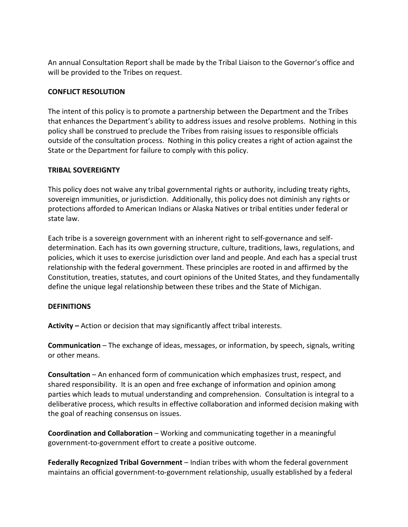An annual Consultation Report shall be made by the Tribal Liaison to the Governor's office and will be provided to the Tribes on request.

#### **CONFLICT RESOLUTION**

The intent of this policy is to promote a partnership between the Department and the Tribes that enhances the Department's ability to address issues and resolve problems. Nothing in this policy shall be construed to preclude the Tribes from raising issues to responsible officials outside of the consultation process. Nothing in this policy creates a right of action against the State or the Department for failure to comply with this policy.

#### **TRIBAL SOVEREIGNTY**

This policy does not waive any tribal governmental rights or authority, including treaty rights, sovereign immunities, or jurisdiction. Additionally, this policy does not diminish any rights or protections afforded to American Indians or Alaska Natives or tribal entities under federal or state law.

Each tribe is a sovereign government with an inherent right to self-governance and selfdetermination. Each has its own governing structure, culture, traditions, laws, regulations, and policies, which it uses to exercise jurisdiction over land and people. And each has a special trust relationship with the federal government. These principles are rooted in and affirmed by the Constitution, treaties, statutes, and court opinions of the United States, and they fundamentally define the unique legal relationship between these tribes and the State of Michigan.

#### **DEFINITIONS**

**Activity –** Action or decision that may significantly affect tribal interests.

**Communication** – The exchange of ideas, messages, or information, by speech, signals, writing or other means.

**Consultation** – An enhanced form of communication which emphasizes trust, respect, and shared responsibility. It is an open and free exchange of information and opinion among parties which leads to mutual understanding and comprehension. Consultation is integral to a deliberative process, which results in effective collaboration and informed decision making with the goal of reaching consensus on issues.

**Coordination and Collaboration** – Working and communicating together in a meaningful government-to-government effort to create a positive outcome.

**Federally Recognized Tribal Government** – Indian tribes with whom the federal government maintains an official government-to-government relationship, usually established by a federal